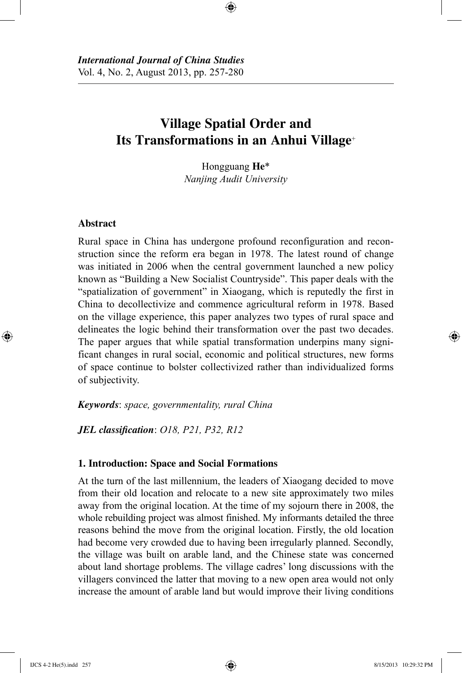# **Village Spatial Order and Its Transformations in an Anhui Village**<sup>+</sup>

⊕

Hongguang **He**\* *Nanjing Audit University*

# **Abstract**

⊕

Rural space in China has undergone profound reconfiguration and reconstruction since the reform era began in 1978. The latest round of change was initiated in 2006 when the central government launched a new policy known as "Building a New Socialist Countryside". This paper deals with the "spatialization of government" in Xiaogang, which is reputedly the first in China to decollectivize and commence agricultural reform in 1978. Based on the village experience, this paper analyzes two types of rural space and delineates the logic behind their transformation over the past two decades. The paper argues that while spatial transformation underpins many significant changes in rural social, economic and political structures, new forms of space continue to bolster collectivized rather than individualized forms of subjectivity.

*Keywords*: *space, governmentality, rural China*

*JEL classification*: *O18, P21, P32, R12*

# **1. Introduction: Space and Social Formations**

At the turn of the last millennium, the leaders of Xiaogang decided to move from their old location and relocate to a new site approximately two miles away from the original location. At the time of my sojourn there in 2008, the whole rebuilding project was almost finished. My informants detailed the three reasons behind the move from the original location. Firstly, the old location had become very crowded due to having been irregularly planned. Secondly, the village was built on arable land, and the Chinese state was concerned about land shortage problems. The village cadres' long discussions with the villagers convinced the latter that moving to a new open area would not only increase the amount of arable land but would improve their living conditions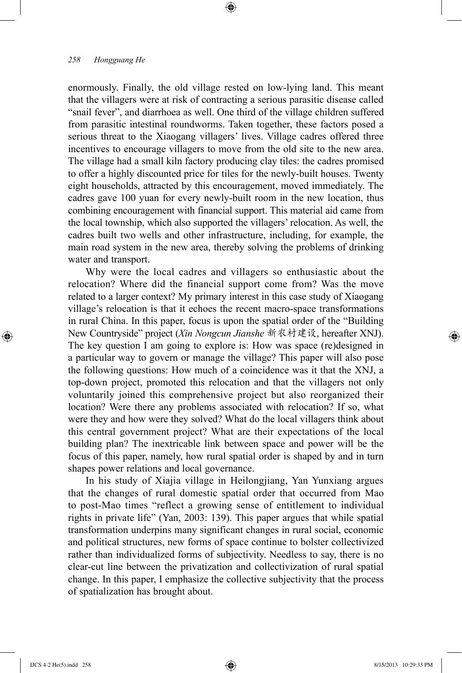enormously. Finally, the old village rested on low-lying land. This meant that the villagers were at risk of contracting a serious parasitic disease called "snail fever", and diarrhoea as well. One third of the village children suffered from parasitic intestinal roundworms. Taken together, these factors posed a serious threat to the Xiaogang villagers' lives. Village cadres offered three incentives to encourage villagers to move from the old site to the new area. The village had a small kiln factory producing clay tiles: the cadres promised to offer a highly discounted price for tiles for the newly-built houses. Twenty eight households, attracted by this encouragement, moved immediately. The cadres gave 100 yuan for every newly-built room in the new location, thus combining encouragement with financial support. This material aid came from the local township, which also supported the villagers' relocation. As well, the cadres built two wells and other infrastructure, including, for example, the main road system in the new area, thereby solving the problems of drinking water and transport.

⊕

Why were the local cadres and villagers so enthusiastic about the relocation? Where did the financial support come from? Was the move related to a larger context? My primary interest in this case study of Xiaogang village's relocation is that it echoes the recent macro-space transformations in rural China. In this paper, focus is upon the spatial order of the "Building New Countryside" project (*Xin Nongcun Jianshe* 新农村建设, hereafter XNJ). The key question I am going to explore is: How was space (re)designed in a particular way to govern or manage the village? This paper will also pose the following questions: How much of a coincidence was it that the XNJ, a top-down project, promoted this relocation and that the villagers not only voluntarily joined this comprehensive project but also reorganized their location? Were there any problems associated with relocation? If so, what were they and how were they solved? What do the local villagers think about this central government project? What are their expectations of the local building plan? The inextricable link between space and power will be the focus of this paper, namely, how rural spatial order is shaped by and in turn shapes power relations and local governance.

In his study of Xiajia village in Heilongjiang, Yan Yunxiang argues that the changes of rural domestic spatial order that occurred from Mao to post-Mao times "reflect a growing sense of entitlement to individual rights in private life" (Yan, 2003: 139). This paper argues that while spatial transformation underpins many significant changes in rural social, economic and political structures, new forms of space continue to bolster collectivized rather than individualized forms of subjectivity. Needless to say, there is no clear-cut line between the privatization and collectivization of rural spatial change. In this paper, I emphasize the collective subjectivity that the process of spatialization has brought about.

⊕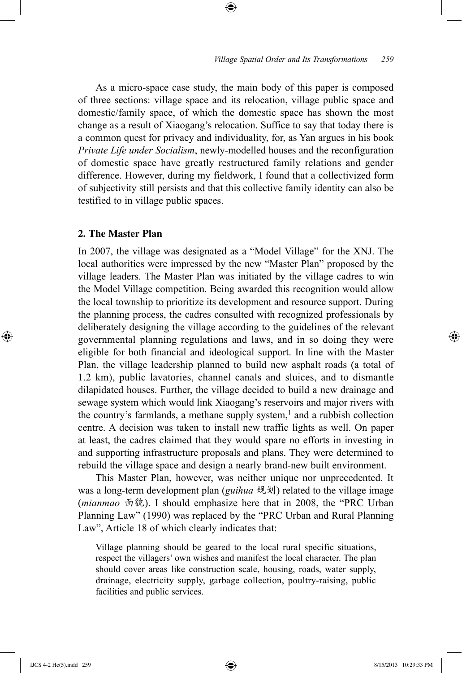As a micro-space case study, the main body of this paper is composed of three sections: village space and its relocation, village public space and domestic/family space, of which the domestic space has shown the most change as a result of Xiaogang's relocation. Suffice to say that today there is a common quest for privacy and individuality, for, as Yan argues in his book *Private Life under Socialism*, newly-modelled houses and the reconfiguration of domestic space have greatly restructured family relations and gender difference. However, during my fieldwork, I found that a collectivized form of subjectivity still persists and that this collective family identity can also be testified to in village public spaces.

⊕

# **2. The Master Plan**

In 2007, the village was designated as a "Model Village" for the XNJ. The local authorities were impressed by the new "Master Plan" proposed by the village leaders. The Master Plan was initiated by the village cadres to win the Model Village competition. Being awarded this recognition would allow the local township to prioritize its development and resource support. During the planning process, the cadres consulted with recognized professionals by deliberately designing the village according to the guidelines of the relevant governmental planning regulations and laws, and in so doing they were eligible for both financial and ideological support. In line with the Master Plan, the village leadership planned to build new asphalt roads (a total of 1.2 km), public lavatories, channel canals and sluices, and to dismantle dilapidated houses. Further, the village decided to build a new drainage and sewage system which would link Xiaogang's reservoirs and major rivers with the country's farmlands, a methane supply system, $<sup>1</sup>$  and a rubbish collection</sup> centre. A decision was taken to install new traffic lights as well. On paper at least, the cadres claimed that they would spare no efforts in investing in and supporting infrastructure proposals and plans. They were determined to rebuild the village space and design a nearly brand-new built environment.

This Master Plan, however, was neither unique nor unprecedented. It was a long-term development plan (*guihua* 规划) related to the village image (*mianmao* 面貌). I should emphasize here that in 2008, the "PRC Urban Planning Law" (1990) was replaced by the "PRC Urban and Rural Planning Law", Article 18 of which clearly indicates that:

Village planning should be geared to the local rural specific situations, respect the villagers' own wishes and manifest the local character. The plan should cover areas like construction scale, housing, roads, water supply, drainage, electricity supply, garbage collection, poultry-raising, public facilities and public services.

⊕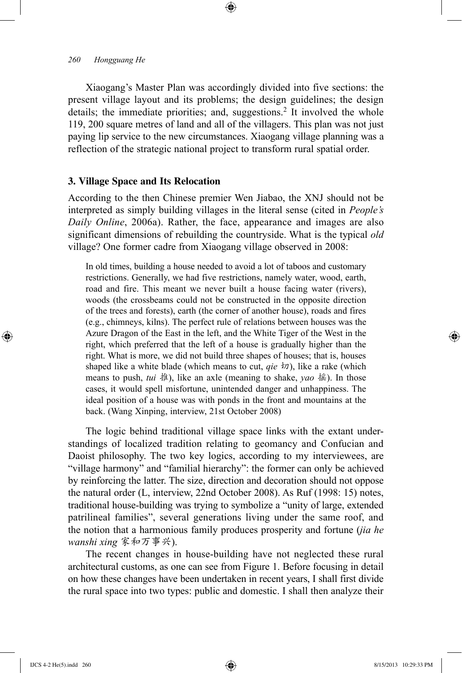Xiaogang's Master Plan was accordingly divided into five sections: the present village layout and its problems; the design guidelines; the design details; the immediate priorities; and, suggestions.<sup>2</sup> It involved the whole 119, 200 square metres of land and all of the villagers. This plan was not just paying lip service to the new circumstances. Xiaogang village planning was a reflection of the strategic national project to transform rural spatial order.

⊕

### **3. Village Space and Its Relocation**

According to the then Chinese premier Wen Jiabao, the XNJ should not be interpreted as simply building villages in the literal sense (cited in *People's Daily Online*, 2006a). Rather, the face, appearance and images are also significant dimensions of rebuilding the countryside. What is the typical *old* village? One former cadre from Xiaogang village observed in 2008:

In old times, building a house needed to avoid a lot of taboos and customary restrictions. Generally, we had five restrictions, namely water, wood, earth, road and fire. This meant we never built a house facing water (rivers), woods (the crossbeams could not be constructed in the opposite direction of the trees and forests), earth (the corner of another house), roads and fires (e.g., chimneys, kilns). The perfect rule of relations between houses was the Azure Dragon of the East in the left, and the White Tiger of the West in the right, which preferred that the left of a house is gradually higher than the right. What is more, we did not build three shapes of houses; that is, houses shaped like a white blade (which means to cut, *qie*  $\overline{w}$ ), like a rake (which means to push, *tui* 推), like an axle (meaning to shake, *yao* 摇). In those cases, it would spell misfortune, unintended danger and unhappiness. The ideal position of a house was with ponds in the front and mountains at the back. (Wang Xinping, interview, 21st October 2008)

The logic behind traditional village space links with the extant understandings of localized tradition relating to geomancy and Confucian and Daoist philosophy. The two key logics, according to my interviewees, are "village harmony" and "familial hierarchy": the former can only be achieved by reinforcing the latter. The size, direction and decoration should not oppose the natural order (L, interview, 22nd October 2008). As Ruf (1998: 15) notes, traditional house-building was trying to symbolize a "unity of large, extended patrilineal families", several generations living under the same roof, and the notion that a harmonious family produces prosperity and fortune (*jia he wanshi xing* 家和万事兴).

The recent changes in house-building have not neglected these rural architectural customs, as one can see from Figure 1. Before focusing in detail on how these changes have been undertaken in recent years, I shall first divide the rural space into two types: public and domestic. I shall then analyze their

⊕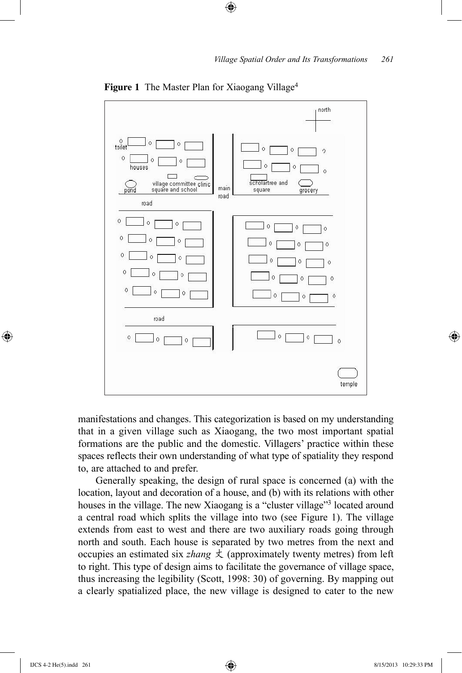

**Figure 1** The Master Plan for Xiaogang Village<sup>4</sup>

 $\bigoplus$ 

manifestations and changes. This categorization is based on my understanding that in a given village such as Xiaogang, the two most important spatial formations are the public and the domestic. Villagers' practice within these spaces reflects their own understanding of what type of spatiality they respond to, are attached to and prefer.

Generally speaking, the design of rural space is concerned (a) with the location, layout and decoration of a house, and (b) with its relations with other houses in the village. The new Xiaogang is a "cluster village"<sup>3</sup> located around a central road which splits the village into two (see Figure 1). The village extends from east to west and there are two auxiliary roads going through north and south. Each house is separated by two metres from the next and occupies an estimated six *zhang*  $\pm$  (approximately twenty metres) from left to right. This type of design aims to facilitate the governance of village space, thus increasing the legibility (Scott, 1998: 30) of governing. By mapping out a clearly spatialized place, the new village is designed to cater to the new

⊕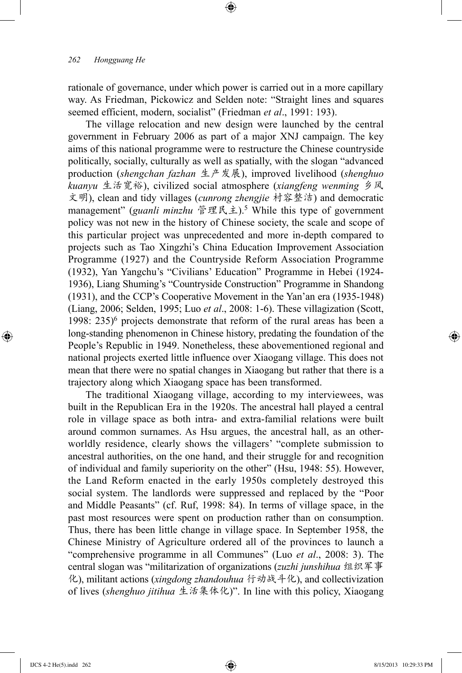rationale of governance, under which power is carried out in a more capillary way. As Friedman, Pickowicz and Selden note: "Straight lines and squares seemed efficient, modern, socialist" (Friedman *et al*., 1991: 193).

⊕

The village relocation and new design were launched by the central government in February 2006 as part of a major XNJ campaign. The key aims of this national programme were to restructure the Chinese countryside politically, socially, culturally as well as spatially, with the slogan "advanced production (*shengchan fazhan* 生产发展), improved livelihood (*shenghuo kuanyu* 生活宽裕), civilized social atmosphere (*xiangfeng wenming* 乡风 文明), clean and tidy villages (*cunrong zhengjie* 村容整洁) and democratic management" (*guanli minzhu* 管理民主).5 While this type of government policy was not new in the history of Chinese society, the scale and scope of this particular project was unprecedented and more in-depth compared to projects such as Tao Xingzhi's China Education Improvement Association Programme (1927) and the Countryside Reform Association Programme (1932), Yan Yangchu's "Civilians' Education" Programme in Hebei (1924- 1936), Liang Shuming's "Countryside Construction" Programme in Shandong (1931), and the CCP's Cooperative Movement in the Yan'an era (1935-1948) (Liang, 2006; Selden, 1995; Luo *et al*., 2008: 1-6). These villagization (Scott, 1998:  $235$ <sup>6</sup> projects demonstrate that reform of the rural areas has been a long-standing phenomenon in Chinese history, predating the foundation of the People's Republic in 1949. Nonetheless, these abovementioned regional and national projects exerted little influence over Xiaogang village. This does not mean that there were no spatial changes in Xiaogang but rather that there is a trajectory along which Xiaogang space has been transformed.

The traditional Xiaogang village, according to my interviewees, was built in the Republican Era in the 1920s. The ancestral hall played a central role in village space as both intra- and extra-familial relations were built around common surnames. As Hsu argues, the ancestral hall, as an otherworldly residence, clearly shows the villagers' "complete submission to ancestral authorities, on the one hand, and their struggle for and recognition of individual and family superiority on the other" (Hsu, 1948: 55). However, the Land Reform enacted in the early 1950s completely destroyed this social system. The landlords were suppressed and replaced by the "Poor and Middle Peasants" (cf. Ruf, 1998: 84). In terms of village space, in the past most resources were spent on production rather than on consumption. Thus, there has been little change in village space. In September 1958, the Chinese Ministry of Agriculture ordered all of the provinces to launch a "comprehensive programme in all Communes" (Luo *et al*., 2008: 3). The central slogan was "militarization of organizations (*zuzhi junshihua* 组织军事 化), militant actions (*xingdong zhandouhua* 行动战斗化), and collectivization of lives (*shenghuo jitihua* 生活集体化)". In line with this policy, Xiaogang

⊕

↔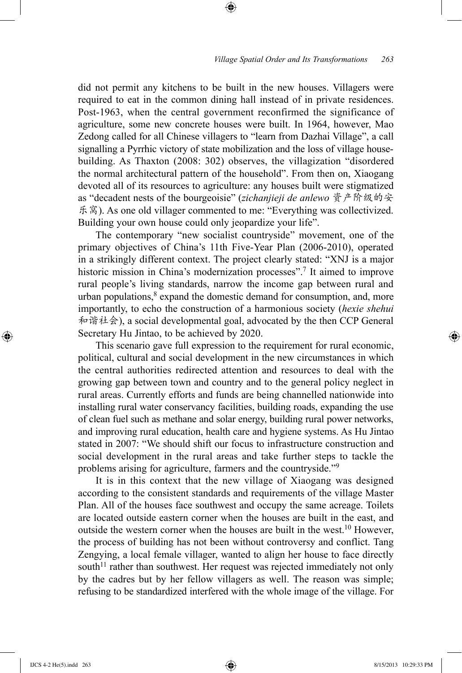did not permit any kitchens to be built in the new houses. Villagers were required to eat in the common dining hall instead of in private residences. Post-1963, when the central government reconfirmed the significance of agriculture, some new concrete houses were built. In 1964, however, Mao Zedong called for all Chinese villagers to "learn from Dazhai Village", a call signalling a Pyrrhic victory of state mobilization and the loss of village housebuilding. As Thaxton (2008: 302) observes, the villagization "disordered the normal architectural pattern of the household". From then on, Xiaogang devoted all of its resources to agriculture: any houses built were stigmatized as "decadent nests of the bourgeoisie" (*zichanjieji de anlewo* 资产阶级的安 乐窝). As one old villager commented to me: "Everything was collectivized. Building your own house could only jeopardize your life".

⊕

The contemporary "new socialist countryside" movement, one of the primary objectives of China's 11th Five-Year Plan (2006-2010), operated in a strikingly different context. The project clearly stated: "XNJ is a major historic mission in China's modernization processes".<sup>7</sup> It aimed to improve rural people's living standards, narrow the income gap between rural and urban populations, $8$  expand the domestic demand for consumption, and, more importantly, to echo the construction of a harmonious society (*hexie shehui*  和谐社会), a social developmental goal, advocated by the then CCP General Secretary Hu Jintao, to be achieved by 2020.

This scenario gave full expression to the requirement for rural economic, political, cultural and social development in the new circumstances in which the central authorities redirected attention and resources to deal with the growing gap between town and country and to the general policy neglect in rural areas. Currently efforts and funds are being channelled nationwide into installing rural water conservancy facilities, building roads, expanding the use of clean fuel such as methane and solar energy, building rural power networks, and improving rural education, health care and hygiene systems. As Hu Jintao stated in 2007: "We should shift our focus to infrastructure construction and social development in the rural areas and take further steps to tackle the problems arising for agriculture, farmers and the countryside."9

It is in this context that the new village of Xiaogang was designed according to the consistent standards and requirements of the village Master Plan. All of the houses face southwest and occupy the same acreage. Toilets are located outside eastern corner when the houses are built in the east, and outside the western corner when the houses are built in the west.<sup>10</sup> However, the process of building has not been without controversy and conflict. Tang Zengying, a local female villager, wanted to align her house to face directly south $11$  rather than southwest. Her request was rejected immediately not only by the cadres but by her fellow villagers as well. The reason was simple; refusing to be standardized interfered with the whole image of the village. For

IJCS 4-2 He(5).indd 263 8/15/2013 10:29:33 PM

⊕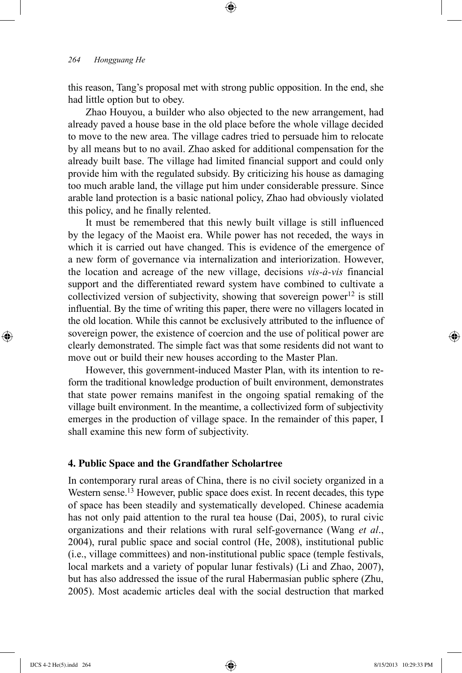this reason, Tang's proposal met with strong public opposition. In the end, she had little option but to obey.

⊕

Zhao Houyou, a builder who also objected to the new arrangement, had already paved a house base in the old place before the whole village decided to move to the new area. The village cadres tried to persuade him to relocate by all means but to no avail. Zhao asked for additional compensation for the already built base. The village had limited financial support and could only provide him with the regulated subsidy. By criticizing his house as damaging too much arable land, the village put him under considerable pressure. Since arable land protection is a basic national policy, Zhao had obviously violated this policy, and he finally relented.

It must be remembered that this newly built village is still influenced by the legacy of the Maoist era. While power has not receded, the ways in which it is carried out have changed. This is evidence of the emergence of a new form of governance via internalization and interiorization. However, the location and acreage of the new village, decisions *vis-à-vis* financial support and the differentiated reward system have combined to cultivate a collectivized version of subjectivity, showing that sovereign power<sup>12</sup> is still influential. By the time of writing this paper, there were no villagers located in the old location. While this cannot be exclusively attributed to the influence of sovereign power, the existence of coercion and the use of political power are clearly demonstrated. The simple fact was that some residents did not want to move out or build their new houses according to the Master Plan.

However, this government-induced Master Plan, with its intention to reform the traditional knowledge production of built environment, demonstrates that state power remains manifest in the ongoing spatial remaking of the village built environment. In the meantime, a collectivized form of subjectivity emerges in the production of village space. In the remainder of this paper, I shall examine this new form of subjectivity.

# **4. Public Space and the Grandfather Scholartree**

In contemporary rural areas of China, there is no civil society organized in a Western sense.<sup>13</sup> However, public space does exist. In recent decades, this type of space has been steadily and systematically developed. Chinese academia has not only paid attention to the rural tea house (Dai, 2005), to rural civic organizations and their relations with rural self-governance (Wang *et al*., 2004), rural public space and social control (He, 2008), institutional public (i.e., village committees) and non-institutional public space (temple festivals, local markets and a variety of popular lunar festivals) (Li and Zhao, 2007), but has also addressed the issue of the rural Habermasian public sphere (Zhu, 2005). Most academic articles deal with the social destruction that marked

⊕

↔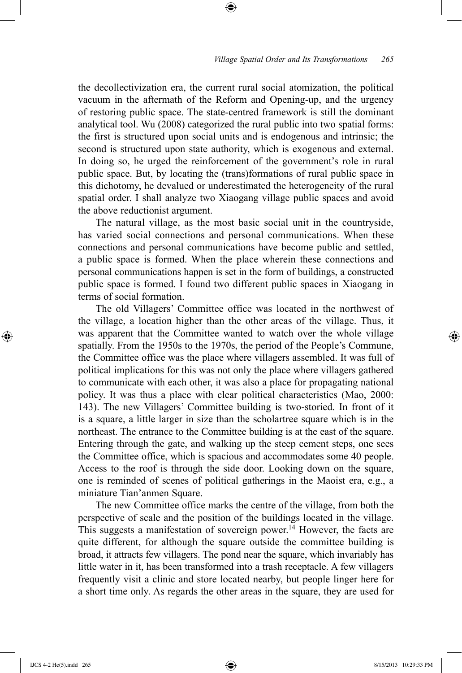the decollectivization era, the current rural social atomization, the political vacuum in the aftermath of the Reform and Opening-up, and the urgency of restoring public space. The state-centred framework is still the dominant analytical tool. Wu (2008) categorized the rural public into two spatial forms: the first is structured upon social units and is endogenous and intrinsic; the second is structured upon state authority, which is exogenous and external. In doing so, he urged the reinforcement of the government's role in rural public space. But, by locating the (trans)formations of rural public space in this dichotomy, he devalued or underestimated the heterogeneity of the rural spatial order. I shall analyze two Xiaogang village public spaces and avoid the above reductionist argument.

⊕

The natural village, as the most basic social unit in the countryside, has varied social connections and personal communications. When these connections and personal communications have become public and settled, a public space is formed. When the place wherein these connections and personal communications happen is set in the form of buildings, a constructed public space is formed. I found two different public spaces in Xiaogang in terms of social formation.

The old Villagers' Committee office was located in the northwest of the village, a location higher than the other areas of the village. Thus, it was apparent that the Committee wanted to watch over the whole village spatially. From the 1950s to the 1970s, the period of the People's Commune, the Committee office was the place where villagers assembled. It was full of political implications for this was not only the place where villagers gathered to communicate with each other, it was also a place for propagating national policy. It was thus a place with clear political characteristics (Mao, 2000: 143). The new Villagers' Committee building is two-storied. In front of it is a square, a little larger in size than the scholartree square which is in the northeast. The entrance to the Committee building is at the east of the square. Entering through the gate, and walking up the steep cement steps, one sees the Committee office, which is spacious and accommodates some 40 people. Access to the roof is through the side door. Looking down on the square, one is reminded of scenes of political gatherings in the Maoist era, e.g., a miniature Tian'anmen Square.

The new Committee office marks the centre of the village, from both the perspective of scale and the position of the buildings located in the village. This suggests a manifestation of sovereign power.<sup>14</sup> However, the facts are quite different, for although the square outside the committee building is broad, it attracts few villagers. The pond near the square, which invariably has little water in it, has been transformed into a trash receptacle. A few villagers frequently visit a clinic and store located nearby, but people linger here for a short time only. As regards the other areas in the square, they are used for

⊕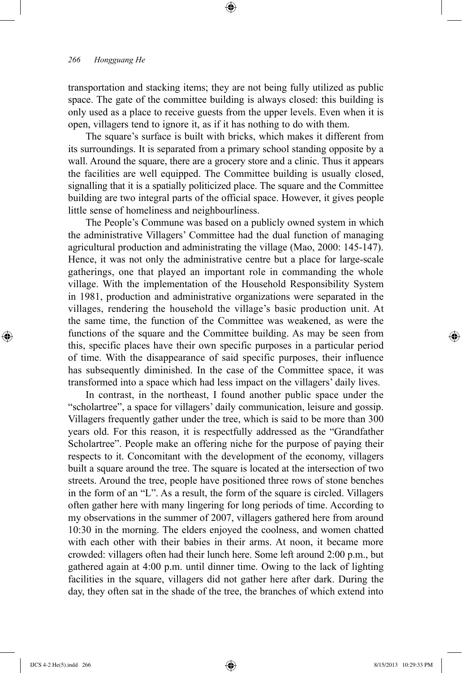transportation and stacking items; they are not being fully utilized as public space. The gate of the committee building is always closed: this building is only used as a place to receive guests from the upper levels. Even when it is open, villagers tend to ignore it, as if it has nothing to do with them.

⊕

The square's surface is built with bricks, which makes it different from its surroundings. It is separated from a primary school standing opposite by a wall. Around the square, there are a grocery store and a clinic. Thus it appears the facilities are well equipped. The Committee building is usually closed, signalling that it is a spatially politicized place. The square and the Committee building are two integral parts of the official space. However, it gives people little sense of homeliness and neighbourliness.

The People's Commune was based on a publicly owned system in which the administrative Villagers' Committee had the dual function of managing agricultural production and administrating the village (Mao, 2000: 145-147). Hence, it was not only the administrative centre but a place for large-scale gatherings, one that played an important role in commanding the whole village. With the implementation of the Household Responsibility System in 1981, production and administrative organizations were separated in the villages, rendering the household the village's basic production unit. At the same time, the function of the Committee was weakened, as were the functions of the square and the Committee building. As may be seen from this, specific places have their own specific purposes in a particular period of time. With the disappearance of said specific purposes, their influence has subsequently diminished. In the case of the Committee space, it was transformed into a space which had less impact on the villagers' daily lives.

In contrast, in the northeast, I found another public space under the "scholartree", a space for villagers' daily communication, leisure and gossip. Villagers frequently gather under the tree, which is said to be more than 300 years old. For this reason, it is respectfully addressed as the "Grandfather Scholartree". People make an offering niche for the purpose of paying their respects to it. Concomitant with the development of the economy, villagers built a square around the tree. The square is located at the intersection of two streets. Around the tree, people have positioned three rows of stone benches in the form of an "L". As a result, the form of the square is circled. Villagers often gather here with many lingering for long periods of time. According to my observations in the summer of 2007, villagers gathered here from around 10:30 in the morning. The elders enjoyed the coolness, and women chatted with each other with their babies in their arms. At noon, it became more crowded: villagers often had their lunch here. Some left around 2:00 p.m., but gathered again at 4:00 p.m. until dinner time. Owing to the lack of lighting facilities in the square, villagers did not gather here after dark. During the day, they often sat in the shade of the tree, the branches of which extend into

⊕

↔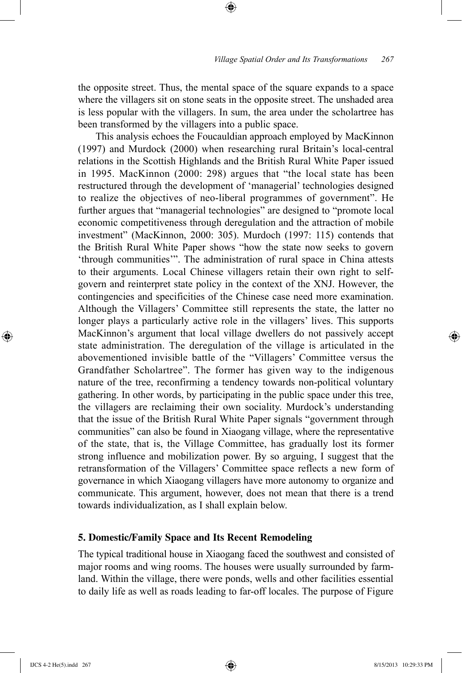the opposite street. Thus, the mental space of the square expands to a space where the villagers sit on stone seats in the opposite street. The unshaded area is less popular with the villagers. In sum, the area under the scholartree has been transformed by the villagers into a public space.

⊕

This analysis echoes the Foucauldian approach employed by MacKinnon (1997) and Murdock (2000) when researching rural Britain's local-central relations in the Scottish Highlands and the British Rural White Paper issued in 1995. MacKinnon (2000: 298) argues that "the local state has been restructured through the development of 'managerial' technologies designed to realize the objectives of neo-liberal programmes of government". He further argues that "managerial technologies" are designed to "promote local economic competitiveness through deregulation and the attraction of mobile investment" (MacKinnon, 2000: 305). Murdoch (1997: 115) contends that the British Rural White Paper shows "how the state now seeks to govern 'through communities'". The administration of rural space in China attests to their arguments. Local Chinese villagers retain their own right to selfgovern and reinterpret state policy in the context of the XNJ. However, the contingencies and specificities of the Chinese case need more examination. Although the Villagers' Committee still represents the state, the latter no longer plays a particularly active role in the villagers' lives. This supports MacKinnon's argument that local village dwellers do not passively accept state administration. The deregulation of the village is articulated in the abovementioned invisible battle of the "Villagers' Committee versus the Grandfather Scholartree". The former has given way to the indigenous nature of the tree, reconfirming a tendency towards non-political voluntary gathering. In other words, by participating in the public space under this tree, the villagers are reclaiming their own sociality. Murdock's understanding that the issue of the British Rural White Paper signals "government through communities" can also be found in Xiaogang village, where the representative of the state, that is, the Village Committee, has gradually lost its former strong influence and mobilization power. By so arguing, I suggest that the retransformation of the Villagers' Committee space reflects a new form of governance in which Xiaogang villagers have more autonomy to organize and communicate. This argument, however, does not mean that there is a trend towards individualization, as I shall explain below.

# **5. Domestic/Family Space and Its Recent Remodeling**

The typical traditional house in Xiaogang faced the southwest and consisted of major rooms and wing rooms. The houses were usually surrounded by farmland. Within the village, there were ponds, wells and other facilities essential to daily life as well as roads leading to far-off locales. The purpose of Figure

⊕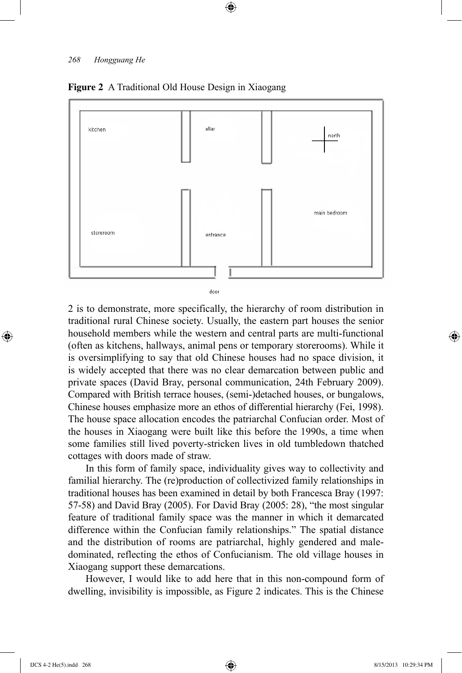

⊕

#### **Figure 2** A Traditional Old House Design in Xiaogang

door

2 is to demonstrate, more specifically, the hierarchy of room distribution in traditional rural Chinese society. Usually, the eastern part houses the senior household members while the western and central parts are multi-functional (often as kitchens, hallways, animal pens or temporary storerooms). While it is oversimplifying to say that old Chinese houses had no space division, it is widely accepted that there was no clear demarcation between public and private spaces (David Bray, personal communication, 24th February 2009). Compared with British terrace houses, (semi-)detached houses, or bungalows, Chinese houses emphasize more an ethos of differential hierarchy (Fei, 1998). The house space allocation encodes the patriarchal Confucian order. Most of the houses in Xiaogang were built like this before the 1990s, a time when some families still lived poverty-stricken lives in old tumbledown thatched cottages with doors made of straw.

In this form of family space, individuality gives way to collectivity and familial hierarchy. The (re)production of collectivized family relationships in traditional houses has been examined in detail by both Francesca Bray (1997: 57-58) and David Bray (2005). For David Bray (2005: 28), "the most singular feature of traditional family space was the manner in which it demarcated difference within the Confucian family relationships." The spatial distance and the distribution of rooms are patriarchal, highly gendered and maledominated, reflecting the ethos of Confucianism. The old village houses in Xiaogang support these demarcations.

However, I would like to add here that in this non-compound form of dwelling, invisibility is impossible, as Figure 2 indicates. This is the Chinese

⊕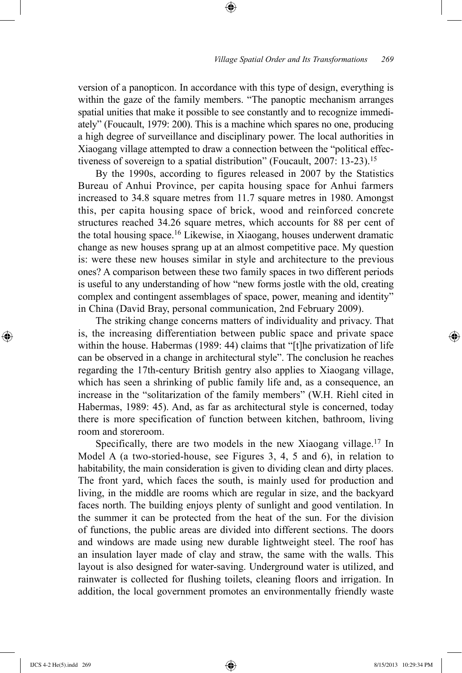version of a panopticon. In accordance with this type of design, everything is within the gaze of the family members. "The panoptic mechanism arranges spatial unities that make it possible to see constantly and to recognize immediately" (Foucault, 1979: 200). This is a machine which spares no one, producing a high degree of surveillance and disciplinary power. The local authorities in Xiaogang village attempted to draw a connection between the "political effectiveness of sovereign to a spatial distribution" (Foucault, 2007: 13-23).<sup>15</sup>

⊕

By the 1990s, according to figures released in 2007 by the Statistics Bureau of Anhui Province, per capita housing space for Anhui farmers increased to 34.8 square metres from 11.7 square metres in 1980. Amongst this, per capita housing space of brick, wood and reinforced concrete structures reached 34.26 square metres, which accounts for 88 per cent of the total housing space.16 Likewise, in Xiaogang, houses underwent dramatic change as new houses sprang up at an almost competitive pace. My question is: were these new houses similar in style and architecture to the previous ones? A comparison between these two family spaces in two different periods is useful to any understanding of how "new forms jostle with the old, creating complex and contingent assemblages of space, power, meaning and identity" in China (David Bray, personal communication, 2nd February 2009).

The striking change concerns matters of individuality and privacy. That is, the increasing differentiation between public space and private space within the house. Habermas (1989: 44) claims that "[t]he privatization of life can be observed in a change in architectural style". The conclusion he reaches regarding the 17th-century British gentry also applies to Xiaogang village, which has seen a shrinking of public family life and, as a consequence, an increase in the "solitarization of the family members" (W.H. Riehl cited in Habermas, 1989: 45). And, as far as architectural style is concerned, today there is more specification of function between kitchen, bathroom, living room and storeroom.

Specifically, there are two models in the new Xiaogang village.<sup>17</sup> In Model A (a two-storied-house, see Figures 3, 4, 5 and 6), in relation to habitability, the main consideration is given to dividing clean and dirty places. The front yard, which faces the south, is mainly used for production and living, in the middle are rooms which are regular in size, and the backyard faces north. The building enjoys plenty of sunlight and good ventilation. In the summer it can be protected from the heat of the sun. For the division of functions, the public areas are divided into different sections. The doors and windows are made using new durable lightweight steel. The roof has an insulation layer made of clay and straw, the same with the walls. This layout is also designed for water-saving. Underground water is utilized, and rainwater is collected for flushing toilets, cleaning floors and irrigation. In addition, the local government promotes an environmentally friendly waste

⊕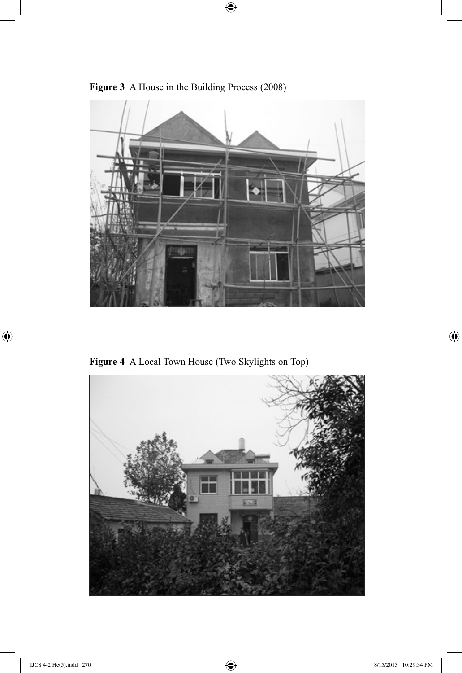

 $\bigoplus$ 

**Figure 3** A House in the Building Process (2008)

**Figure 4** A Local Town House (Two Skylights on Top)



 $\bigoplus$ 

 $\bigoplus$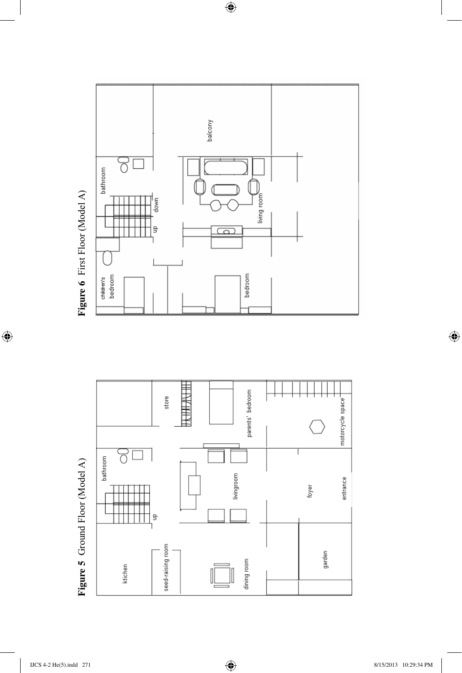

dining room



 $\bigoplus$ 

Figure 5 Ground Floor (Model A) **Figure 5** Ground Floor (Model A)

seed-raising room

ktichen

garden

 $\bigoplus$ 

 $\bigoplus$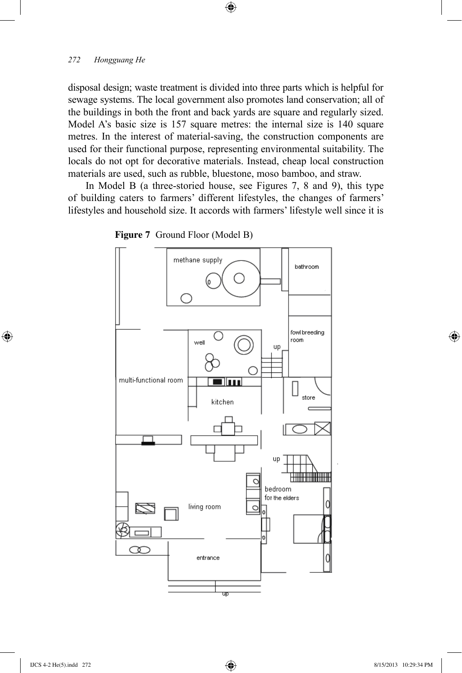disposal design; waste treatment is divided into three parts which is helpful for sewage systems. The local government also promotes land conservation; all of the buildings in both the front and back yards are square and regularly sized. Model A's basic size is 157 square metres: the internal size is 140 square metres. In the interest of material-saving, the construction components are used for their functional purpose, representing environmental suitability. The locals do not opt for decorative materials. Instead, cheap local construction materials are used, such as rubble, bluestone, moso bamboo, and straw.

 $\bigoplus$ 

In Model B (a three-storied house, see Figures 7, 8 and 9), this type of building caters to farmers' different lifestyles, the changes of farmers' lifestyles and household size. It accords with farmers' lifestyle well since it is





⊕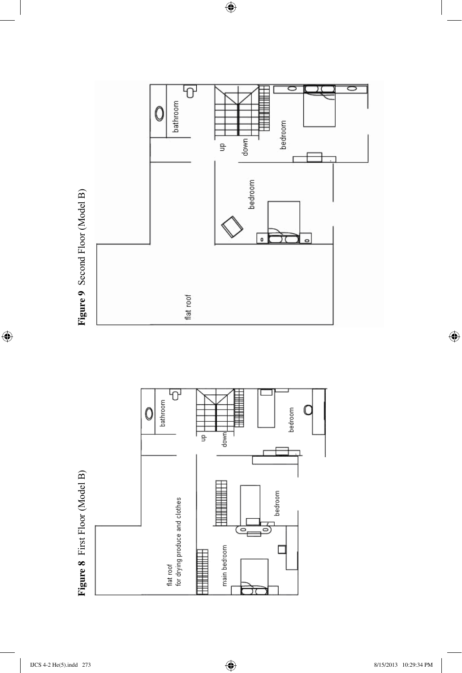

 $\bigoplus$ 



 $\bigoplus$ 

 $\bigoplus$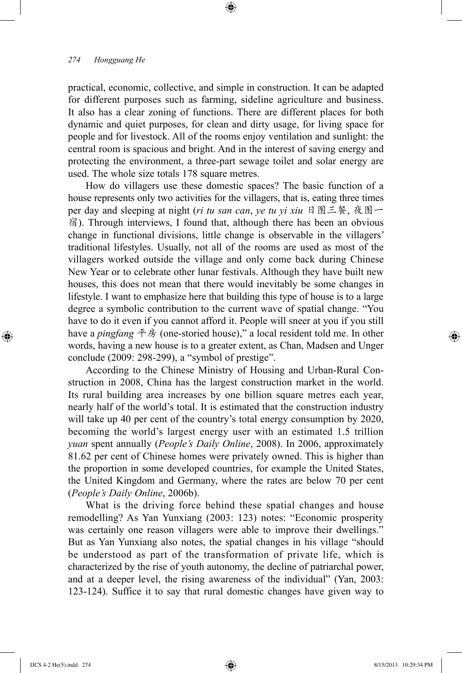practical, economic, collective, and simple in construction. It can be adapted for different purposes such as farming, sideline agriculture and business. It also has a clear zoning of functions. There are different places for both dynamic and quiet purposes, for clean and dirty usage, for living space for people and for livestock. All of the rooms enjoy ventilation and sunlight: the central room is spacious and bright. And in the interest of saving energy and protecting the environment, a three-part sewage toilet and solar energy are used. The whole size totals 178 square metres.

⊕

How do villagers use these domestic spaces? The basic function of a house represents only two activities for the villagers, that is, eating three times per day and sleeping at night (*ri tu san can*, *ye tu yi xiu* 日图三餐, 夜图一 宿). Through interviews, I found that, although there has been an obvious change in functional divisions, little change is observable in the villagers' traditional lifestyles. Usually, not all of the rooms are used as most of the villagers worked outside the village and only come back during Chinese New Year or to celebrate other lunar festivals. Although they have built new houses, this does not mean that there would inevitably be some changes in lifestyle. I want to emphasize here that building this type of house is to a large degree a symbolic contribution to the current wave of spatial change. "You have to do it even if you cannot afford it. People will sneer at you if you still have a *pingfang* 平房 (one-storied house)," a local resident told me. In other words, having a new house is to a greater extent, as Chan, Madsen and Unger conclude (2009: 298-299), a "symbol of prestige".

According to the Chinese Ministry of Housing and Urban-Rural Construction in 2008, China has the largest construction market in the world. Its rural building area increases by one billion square metres each year, nearly half of the world's total. It is estimated that the construction industry will take up 40 per cent of the country's total energy consumption by 2020, becoming the world's largest energy user with an estimated 1.5 trillion *yuan* spent annually (*People's Daily Online*, 2008). In 2006, approximately 81.62 per cent of Chinese homes were privately owned. This is higher than the proportion in some developed countries, for example the United States, the United Kingdom and Germany, where the rates are below 70 per cent (*People's Daily Online*, 2006b).

What is the driving force behind these spatial changes and house remodelling? As Yan Yunxiang (2003: 123) notes: "Economic prosperity was certainly one reason villagers were able to improve their dwellings." But as Yan Yunxiang also notes, the spatial changes in his village "should be understood as part of the transformation of private life, which is characterized by the rise of youth autonomy, the decline of patriarchal power, and at a deeper level, the rising awareness of the individual" (Yan, 2003: 123-124). Suffice it to say that rural domestic changes have given way to

⊕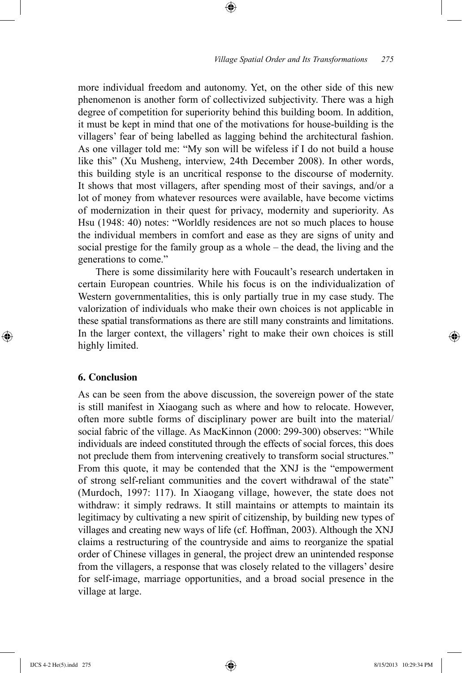more individual freedom and autonomy. Yet, on the other side of this new phenomenon is another form of collectivized subjectivity. There was a high degree of competition for superiority behind this building boom. In addition, it must be kept in mind that one of the motivations for house-building is the villagers' fear of being labelled as lagging behind the architectural fashion. As one villager told me: "My son will be wifeless if I do not build a house like this" (Xu Musheng, interview, 24th December 2008). In other words, this building style is an uncritical response to the discourse of modernity. It shows that most villagers, after spending most of their savings, and/or a lot of money from whatever resources were available, have become victims of modernization in their quest for privacy, modernity and superiority. As Hsu (1948: 40) notes: "Worldly residences are not so much places to house the individual members in comfort and ease as they are signs of unity and social prestige for the family group as a whole – the dead, the living and the generations to come."

⊕

There is some dissimilarity here with Foucault's research undertaken in certain European countries. While his focus is on the individualization of Western governmentalities, this is only partially true in my case study. The valorization of individuals who make their own choices is not applicable in these spatial transformations as there are still many constraints and limitations. In the larger context, the villagers' right to make their own choices is still highly limited.

# **6. Conclusion**

⊕

As can be seen from the above discussion, the sovereign power of the state is still manifest in Xiaogang such as where and how to relocate. However, often more subtle forms of disciplinary power are built into the material/ social fabric of the village. As MacKinnon (2000: 299-300) observes: "While individuals are indeed constituted through the effects of social forces, this does not preclude them from intervening creatively to transform social structures." From this quote, it may be contended that the XNJ is the "empowerment of strong self-reliant communities and the covert withdrawal of the state" (Murdoch, 1997: 117). In Xiaogang village, however, the state does not withdraw: it simply redraws. It still maintains or attempts to maintain its legitimacy by cultivating a new spirit of citizenship, by building new types of villages and creating new ways of life (cf. Hoffman, 2003). Although the XNJ claims a restructuring of the countryside and aims to reorganize the spatial order of Chinese villages in general, the project drew an unintended response from the villagers, a response that was closely related to the villagers' desire for self-image, marriage opportunities, and a broad social presence in the village at large.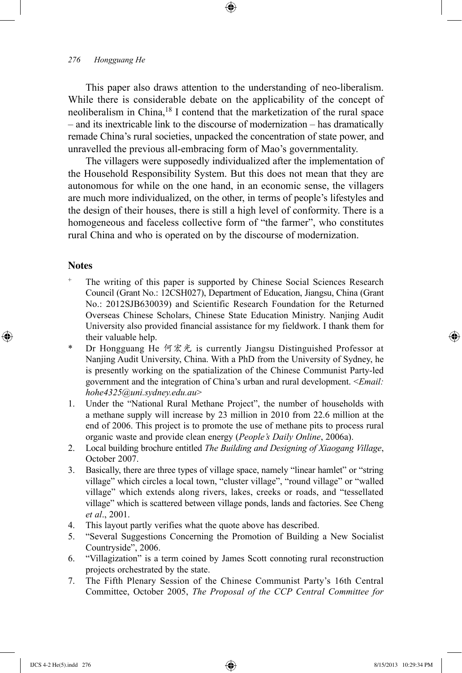This paper also draws attention to the understanding of neo-liberalism. While there is considerable debate on the applicability of the concept of neoliberalism in China,18 I contend that the marketization of the rural space – and its inextricable link to the discourse of modernization – has dramatically remade China's rural societies, unpacked the concentration of state power, and unravelled the previous all-embracing form of Mao's governmentality.

⊕

The villagers were supposedly individualized after the implementation of the Household Responsibility System. But this does not mean that they are autonomous for while on the one hand, in an economic sense, the villagers are much more individualized, on the other, in terms of people's lifestyles and the design of their houses, there is still a high level of conformity. There is a homogeneous and faceless collective form of "the farmer", who constitutes rural China and who is operated on by the discourse of modernization.

### **Notes**

⊕

- The writing of this paper is supported by Chinese Social Sciences Research Council (Grant No.: 12CSH027), Department of Education, Jiangsu, China (Grant No.: 2012SJB630039) and Scientific Research Foundation for the Returned Overseas Chinese Scholars, Chinese State Education Ministry. Nanjing Audit University also provided financial assistance for my fieldwork. I thank them for their valuable help.
- \* Dr Hongguang He 何宏光 is currently Jiangsu Distinguished Professor at Nanjing Audit University, China. With a PhD from the University of Sydney, he is presently working on the spatialization of the Chinese Communist Party-led government and the integration of China's urban and rural development. <*Email: hohe4325@uni.sydney.edu.au*>
- 1. Under the "National Rural Methane Project", the number of households with a methane supply will increase by 23 million in 2010 from 22.6 million at the end of 2006. This project is to promote the use of methane pits to process rural organic waste and provide clean energy (*People's Daily Online*, 2006a).
- 2. Local building brochure entitled *The Building and Designing of Xiaogang Village*, October 2007.
- 3. Basically, there are three types of village space, namely "linear hamlet" or "string village" which circles a local town, "cluster village", "round village" or "walled village" which extends along rivers, lakes, creeks or roads, and "tessellated village" which is scattered between village ponds, lands and factories. See Cheng *et al*., 2001.
- 4. This layout partly verifies what the quote above has described.
- 5. "Several Suggestions Concerning the Promotion of Building a New Socialist Countryside", 2006.
- 6. "Villagization" is a term coined by James Scott connoting rural reconstruction projects orchestrated by the state.
- 7. The Fifth Plenary Session of the Chinese Communist Party's 16th Central Committee, October 2005, *The Proposal of the CCP Central Committee for*

IJCS 4-2 He(5).indd 276 8/15/2013 10:29:34 PM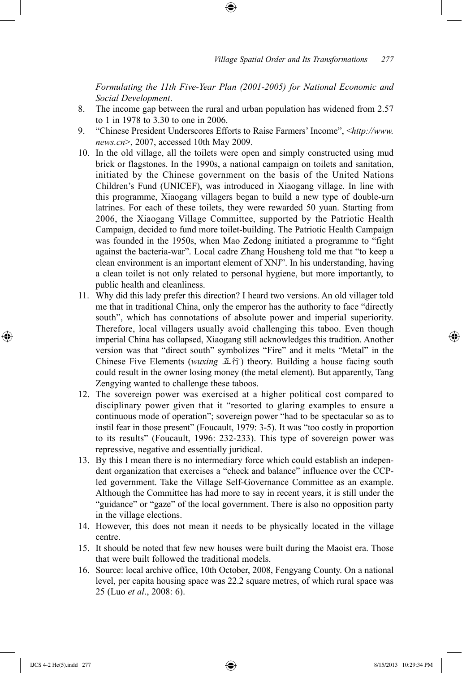*Formulating the 11th Five-Year Plan (2001-2005) for National Economic and Social Development*.

8. The income gap between the rural and urban population has widened from 2.57 to 1 in 1978 to 3.30 to one in 2006.

⊕

- 9. "Chinese President Underscores Efforts to Raise Farmers' Income", <*http://www. news.cn*>, 2007, accessed 10th May 2009.
- 10. In the old village, all the toilets were open and simply constructed using mud brick or flagstones. In the 1990s, a national campaign on toilets and sanitation, initiated by the Chinese government on the basis of the United Nations Children's Fund (UNICEF), was introduced in Xiaogang village. In line with this programme, Xiaogang villagers began to build a new type of double-urn latrines. For each of these toilets, they were rewarded 50 yuan. Starting from 2006, the Xiaogang Village Committee, supported by the Patriotic Health Campaign, decided to fund more toilet-building. The Patriotic Health Campaign was founded in the 1950s, when Mao Zedong initiated a programme to "fight against the bacteria-war". Local cadre Zhang Housheng told me that "to keep a clean environment is an important element of XNJ". In his understanding, having a clean toilet is not only related to personal hygiene, but more importantly, to public health and cleanliness.
- 11. Why did this lady prefer this direction? I heard two versions. An old villager told me that in traditional China, only the emperor has the authority to face "directly south", which has connotations of absolute power and imperial superiority. Therefore, local villagers usually avoid challenging this taboo. Even though imperial China has collapsed, Xiaogang still acknowledges this tradition. Another version was that "direct south" symbolizes "Fire" and it melts "Metal" in the Chinese Five Elements (*wuxing* 五行) theory. Building a house facing south could result in the owner losing money (the metal element). But apparently, Tang Zengying wanted to challenge these taboos.
- 12. The sovereign power was exercised at a higher political cost compared to disciplinary power given that it "resorted to glaring examples to ensure a continuous mode of operation"; sovereign power "had to be spectacular so as to instil fear in those present" (Foucault, 1979: 3-5). It was "too costly in proportion to its results" (Foucault, 1996: 232-233). This type of sovereign power was repressive, negative and essentially juridical.
- 13. By this I mean there is no intermediary force which could establish an independent organization that exercises a "check and balance" influence over the CCPled government. Take the Village Self-Governance Committee as an example. Although the Committee has had more to say in recent years, it is still under the "guidance" or "gaze" of the local government. There is also no opposition party in the village elections.
- 14. However, this does not mean it needs to be physically located in the village centre.
- 15. It should be noted that few new houses were built during the Maoist era. Those that were built followed the traditional models.
- 16. Source: local archive office, 10th October, 2008, Fengyang County. On a national level, per capita housing space was 22.2 square metres, of which rural space was 25 (Luo *et al*., 2008: 6).

⊕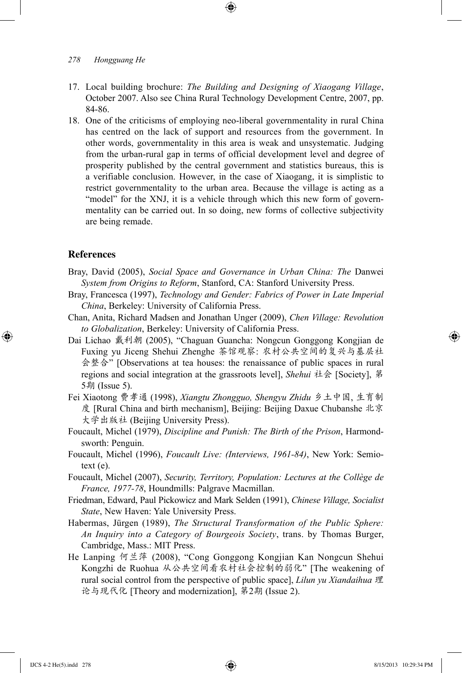17. Local building brochure: *The Building and Designing of Xiaogang Village*, October 2007. Also see China Rural Technology Development Centre, 2007, pp. 84-86.

⊕

18. One of the criticisms of employing neo-liberal governmentality in rural China has centred on the lack of support and resources from the government. In other words, governmentality in this area is weak and unsystematic. Judging from the urban-rural gap in terms of official development level and degree of prosperity published by the central government and statistics bureaus, this is a verifiable conclusion. However, in the case of Xiaogang, it is simplistic to restrict governmentality to the urban area. Because the village is acting as a "model" for the XNJ, it is a vehicle through which this new form of governmentality can be carried out. In so doing, new forms of collective subjectivity are being remade.

## **References**

⊕

- Bray, David (2005), *Social Space and Governance in Urban China: The* Danwei *System from Origins to Reform*, Stanford, CA: Stanford University Press.
- Bray, Francesca (1997), *Technology and Gender: Fabrics of Power in Late Imperial China*, Berkeley: University of California Press.
- Chan, Anita, Richard Madsen and Jonathan Unger (2009), *Chen Village: Revolution to Globalization*, Berkeley: University of California Press.
- Dai Lichao 戴利朝 (2005), "Chaguan Guancha: Nongcun Gonggong Kongjian de Fuxing yu Jiceng Shehui Zhenghe 茶馆观察: 农村公共空间的复兴与基层社 会整合" [Observations at tea houses: the renaissance of public spaces in rural regions and social integration at the grassroots level], *Shehui* 社会 [Society], 第 5期 (Issue 5).
- Fei Xiaotong 费孝通 (1998), *Xiangtu Zhongguo, Shengyu Zhidu* 乡土中国, 生育制 度 [Rural China and birth mechanism], Beijing: Beijing Daxue Chubanshe 北京 大学出版社 (Beijing University Press).
- Foucault, Michel (1979), *Discipline and Punish: The Birth of the Prison*, Harmondsworth: Penguin.
- Foucault, Michel (1996), *Foucault Live: (Interviews, 1961-84)*, New York: Semiotext (e).
- Foucault, Michel (2007), *Security, Territory, Population: Lectures at the Collège de France, 1977-78*, Houndmills: Palgrave Macmillan.
- Friedman, Edward, Paul Pickowicz and Mark Selden (1991), *Chinese Village, Socialist State*, New Haven: Yale University Press.
- Habermas, Jürgen (1989), *The Structural Transformation of the Public Sphere: An Inquiry into a Category of Bourgeois Society*, trans. by Thomas Burger, Cambridge, Mass.: MIT Press.
- He Lanping 何兰萍 (2008), "Cong Gonggong Kongjian Kan Nongcun Shehui Kongzhi de Ruohua 从公共空间看农村社会控制的弱化" [The weakening of rural social control from the perspective of public space], *Lilun yu Xiandaihua* 理 论与现代化 [Theory and modernization], 第2期 (Issue 2).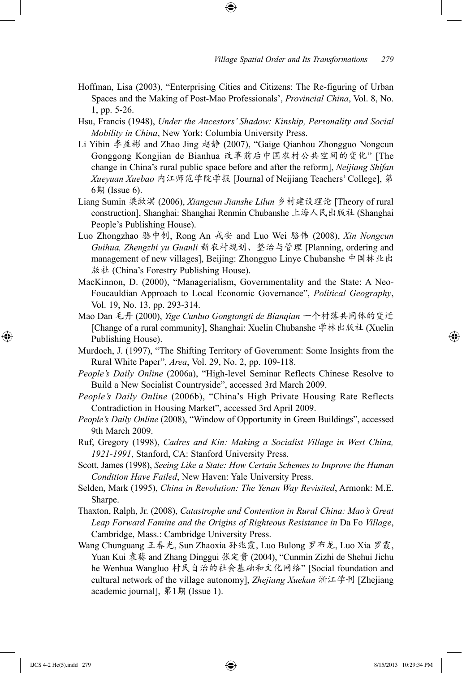Hoffman, Lisa (2003), "Enterprising Cities and Citizens: The Re-figuring of Urban Spaces and the Making of Post-Mao Professionals', *Provincial China*, Vol. 8, No. 1, pp. 5-26.

⊕

- Hsu, Francis (1948), *Under the Ancestors' Shadow: Kinship, Personality and Social Mobility in China*, New York: Columbia University Press.
- Li Yibin 李益彬 and Zhao Jing 赵静 (2007), "Gaige Qianhou Zhongguo Nongcun Gonggong Kongjian de Bianhua 改革前后中国农村公共空间的变化" [The change in China's rural public space before and after the reform], *Neijiang Shifan Xueyuan Xuebao* 内江师范学院学报 [Journal of Neijiang Teachers' College], 第 6期 (Issue 6).
- Liang Sumin 梁漱溟 (2006), *Xiangcun Jianshe Lilun* 乡村建设理论 [Theory of rural construction], Shanghai: Shanghai Renmin Chubanshe 上海人民出版社 (Shanghai People's Publishing House).
- Luo Zhongzhao 骆中钊, Rong An 戎安 and Luo Wei 骆伟 (2008), *Xin Nongcun Guihua, Zhengzhi yu Guanli* 新农村规划、整治与管理 [Planning, ordering and management of new villages], Beijing: Zhongguo Linye Chubanshe 中国林业出 版社 (China's Forestry Publishing House).
- MacKinnon, D. (2000), "Managerialism, Governmentality and the State: A Neo-Foucauldian Approach to Local Economic Governance", *Political Geography*, Vol. 19, No. 13, pp. 293-314.
- Mao Dan 毛丹 (2000), *Yige Cunluo Gongtongti de Bianqian* 一个村落共同体的变迁 [Change of a rural community], Shanghai: Xuelin Chubanshe 学林出版社 (Xuelin Publishing House).
- Murdoch, J. (1997), "The Shifting Territory of Government: Some Insights from the Rural White Paper", *Area*, Vol. 29, No. 2, pp. 109-118.
- *People's Daily Online* (2006a), "High-level Seminar Reflects Chinese Resolve to Build a New Socialist Countryside", accessed 3rd March 2009.
- *People's Daily Online* (2006b), "China's High Private Housing Rate Reflects Contradiction in Housing Market", accessed 3rd April 2009.
- *People's Daily Online* (2008), "Window of Opportunity in Green Buildings", accessed 9th March 2009.
- Ruf, Gregory (1998), *Cadres and Kin: Making a Socialist Village in West China, 1921-1991*, Stanford, CA: Stanford University Press.
- Scott, James (1998), *Seeing Like a State: How Certain Schemes to Improve the Human Condition Have Failed*, New Haven: Yale University Press.
- Selden, Mark (1995), *China in Revolution: The Yenan Way Revisited*, Armonk: M.E. Sharpe.
- Thaxton, Ralph, Jr. (2008), *Catastrophe and Contention in Rural China: Mao's Great Leap Forward Famine and the Origins of Righteous Resistance in* Da Fo *Village*, Cambridge, Mass.: Cambridge University Press.
- Wang Chunguang 王春光, Sun Zhaoxia 孙兆霞, Luo Bulong 罗布龙, Luo Xia 罗霞, Yuan Kui 袁葵 and Zhang Dinggui 张定贵 (2004), "Cunmin Zizhi de Shehui Jichu he Wenhua Wangluo 村民自治的社会基础和文化网络" [Social foundation and cultural network of the village autonomy], *Zhejiang Xuekan* 浙江学刊 [Zhejiang academic journal], 第1期 (Issue 1).

⊕